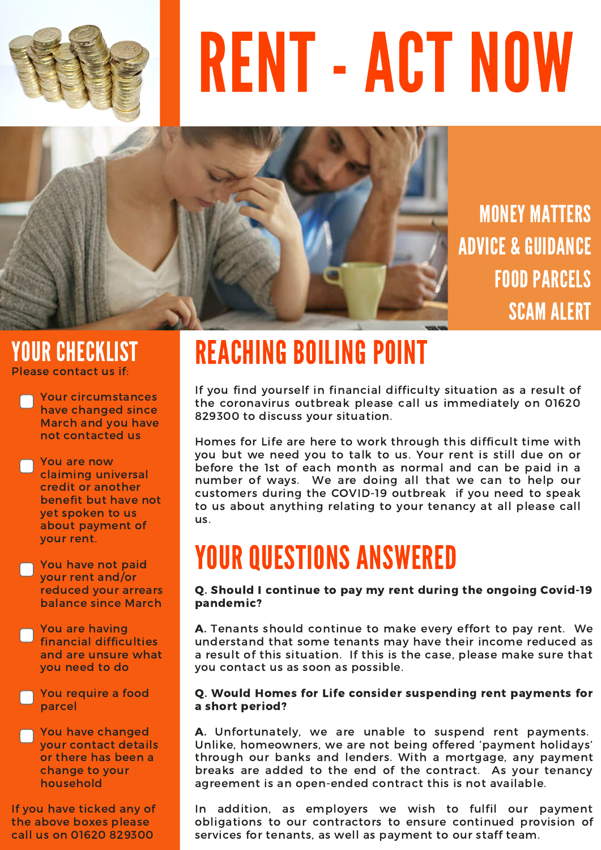

# RENT - ACT NOW



MONEY MATTERS ADVICE & GUIDANCE FOOD PARCELS SCAM ALERT

#### Please contact us if: YOUR CHECKLIST

Your circumstances have changed since March and you have not contacted us

You are now claiming universal credit or another benefit but have not yet spoken to us about payment of your rent.

You have not paid your rent and/or reduced your arrears balance since March

You are having financial difficulties and are unsure what you need to do

You require a food parcel

You have changed your contact details or there has been a change to your household

If you have ticked any of the above boxes please call us on 01620 829300

# REACHING BOILING POINT

If you find yourself in financial difficulty situation as a result of the coronavirus outbreak please call us immediately on 01620 829300 to discuss your situation.

Homes for Life are here to work through this difficult time with you but we need you to talk to us. Your rent is still due on or before the 1st of each month as normal and can be paid in a number of ways. We are doing all that we can to help our customers during the COVID-19 outbreak if you need to speak to us about anything relating to your tenancy at all please call us.

## YOUR QUESTIONS ANSWERED

#### Q. Should I continue to pay my rent during the ongoing Covid-19 pandemic?

A. Tenants should continue to make every effort to pay rent. We understand that some tenants may have their income reduced as a result of this situation. If this is the case, please make sure that you contact us as soon as possible.

#### Q. Would Homes for Life consider suspending rent payments for a short period?

A. Unfortunately, we are unable to suspend rent payments. Unlike, homeowners, we are not being offered 'payment holidays' through our banks and lenders. With a mortgage, any payment breaks are added to the end of the contract. As your tenancy agreement is an open-ended contract this is not available.

In addition, as employers we wish to fulfil our payment obligations to our contractors to ensure continued provision of services for tenants, as well as payment to our staff team.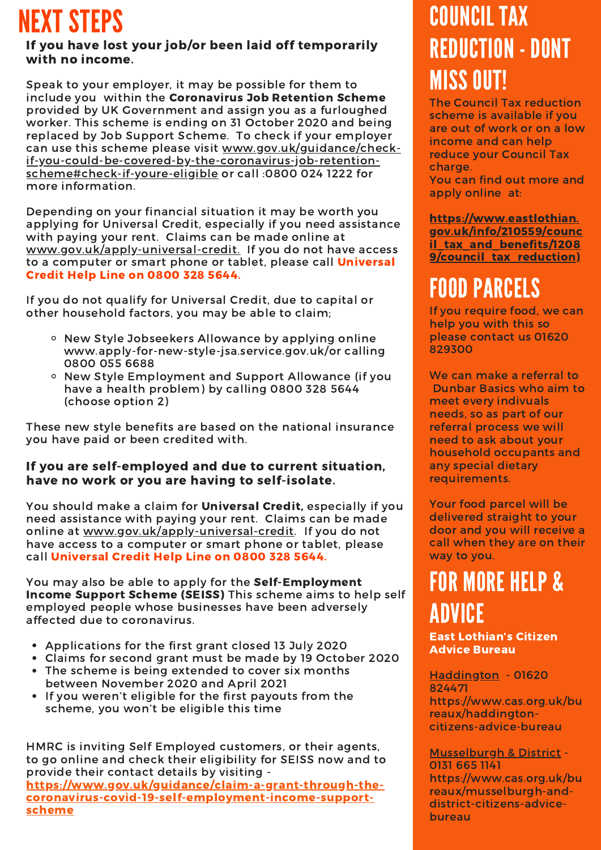## NEXT STEPS

#### If you have lost your job/or been laid off temporarily with no income.

Speak to your employer, it may be possible for them to include you within the Coronavirus Job Retention Scheme provided by UK Government and assign you as a furloughed worker. This scheme is ending on 31 October 2020 and being replaced by Job Support Scheme. To check if your employer can use this scheme please visit www.gov.uk/guidance/check[if-you-could-be-covered-by-the-coronavirus-job-retention](https://www.gov.uk/government/organisations/hm-revenue-customs/contact/get-help-with-the-coronavirus-job-retention-scheme)scheme#check-if-youre-eligible or call :0800 024 1222 for more information.

Depending on your financial situation it may be worth you applying for Universal Credit, especially if you need assistance with paying your rent. Claims can be made online at [www.gov.uk/apply-universal-credit.](http://www.gov.uk/apply-universal-credit.) If you do not have access to a computer or smart phone or tablet, please call **Universal** Credit Help Line on 0800 328 5644.

If you do not qualify for Universal Credit, due to capital or other household factors, you may be able to claim;

- o New Style Jobseekers Allowance by applying online www.apply-for-new-style-jsa.service.gov.uk/or calling 0800 055 6688
- o New Style Employment and Support Allowance (if you have a health problem) by calling 0800 328 5644 (choose option 2)

These new style benefits are based on the national insurance you have paid or been credited with.

#### If you are self-employed and due to current situation, have no work or you are having to self-isolate.

You should make a claim for Universal Credit, especially if you need assistance with paying your rent. Claims can be made online at [www.gov.uk/apply-universal-credit.](http://www.gov.uk/apply-universal-credit) If you do not have access to a computer or smart phone or tablet, please call Universal Credit Help Line on 0800 328 5644.

You may also be able to apply for the Self-Employment Income Support Scheme (SEISS) This scheme aims to help self employed people whose businesses have been adversely affected due to coronavirus.

- Applications for the first grant closed 13 July 2020
- Claims for second grant must be made by 19 October 2020
- The scheme is being extended to cover six months between November 2020 and April 2021
- If you weren't eligible for the first payouts from the scheme, you won't be eligible this time

HMRC is inviting Self Employed customers, or their agents, to go online and check their eligibility for SEISS now and to provide their contact details by visiting [https://www.gov.uk/guidance/claim-a-grant-through-the](https://www.gov.uk/guidance/claim-a-grant-through-the-coronavirus-covid-19-self-employment-income-support-scheme)coronavirus-covid-19-self-employment-income-supportscheme

### COUNCIL TAX REDUCTION- DONT MISS OUT!

The Council Tax reduction scheme is available if you are out of work or on a low income and can help reduce your Council Tax charge.

You can find out more and apply online at:

https://www.eastlothian. [gov.uk/info/210559/counc](https://www.eastlothian.gov.uk/info/210559/council_tax_and_benefits/12089/council_tax_reduction)) il tax and benefits/1208 9/council tax reduction)

### FOOD PARCELS

If you require food, we can help you with this so please contact us 01620 829300

We can make a referral to Dunbar Basics who aim to meet every indivuals needs, so as part of our referral process we will need to ask about your household occupants and any special dietary requirements.

Your food parcel will be delivered straight to your door and you will receive a call when they are on their way to you.

### FOR MORE HELP & ADVICE

East Lothian's Citizen Advice Bureau

Haddington - 01620 824471 https://www.cas.org.uk/bu reaux/haddingtoncitizens-advice-bureau

Musselburgh & District - 0131 665 1141 https://www.cas.org.uk/bu reaux/musselburgh-anddistrict-citizens-advicebureau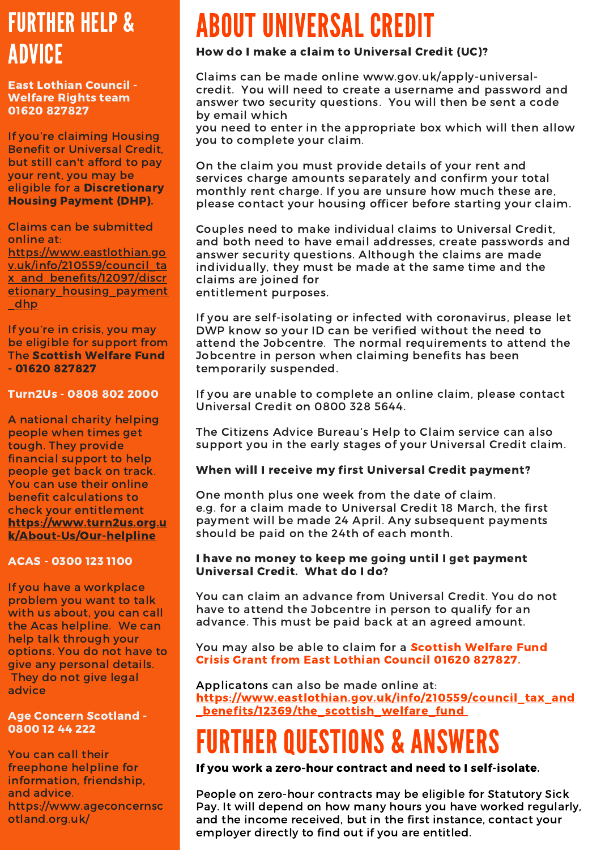### FURTHER HELP & ADVICE

East Lothian Council - Welfare Rights team 01620 827827

If you're claiming Housing Benefit or Universal Credit, but still can't afford to pay your rent, you may be eligible for a Discretionary Housing Payment (DHP).

Claims can be submitted online at: https://www.eastlothian.go v.uk/info/210559/council\_ta x\_and\_benefits/12097/discr [etionary\\_housing\\_payment](https://www.eastlothian.gov.uk/info/210559/council_tax_and_benefits/12097/discretionary_housing_payment_dhp) \_dhp

If you're in crisis, you may be eligible for support from The Scottish Welfare Fund - 01620 827827

#### Turn2Us - 0808 802 2000

A national charity helping people when times get tough. They provide financial support to help people get back on track. You can use their online benefit calculations to check your entitlement [https://www.turn2us.org.u](https://www.turn2us.org.uk/About-Us/Our-helpline) k/About-Us/Our-helpline

#### ACAS - 0300 123 1100

If you have a workplace problem you want to talk with us about, you can call the Acas helpline. We can help talk through your options. You do not have to give any personal details. They do not give legal advice

#### Age Concern Scotland - 0800 12 44 222

You can call their freephone helpline for information, friendship, and advice. https://www.ageconcernsc otland.org.uk/

# ABOUT UNIVERSAL CREDIT

#### How do I make a claim to Universal Credit (UC)?

Claims can be made online www.gov.uk/apply-universalcredit. You will need to create a username and password and answer two security questions. You will then be sent a code by email which

you need to enter in the appropriate box which will then allow you to complete your claim.

On the claim you must provide details of your rent and services charge amounts separately and confirm your total monthly rent charge. If you are unsure how much these are, please contact your housing officer before starting your claim.

Couples need to make individual claims to Universal Credit, and both need to have email addresses, create passwords and answer security questions. Although the claims are made individually, they must be made at the same time and the claims are joined for entitlement purposes.

If you are self-isolating or infected with coronavirus, please let DWP know so your ID can be verified without the need to attend the Jobcentre. The normal requirements to attend the Jobcentre in person when claiming benefits has been temporarily suspended.

If you are unable to complete an online claim, please contact Universal Credit on 0800 328 5644.

The Citizens Advice Bureau's Help to Claim service can also support you in the early stages of your Universal Credit claim.

#### When will I receive my first Universal Credit payment?

One month plus one week from the date of claim. e.g. for a claim made to Universal Credit 18 March, the first payment will be made 24 April. Any subsequent payments should be paid on the 24th of each month.

#### I have no money to keep me going until I get payment Universal Credit. What do I do?

You can claim an advance from Universal Credit. You do not have to attend the Jobcentre in person to qualify for an advance. This must be paid back at an agreed amount.

You may also be able to claim for a **Scottish Welfare Fund** Crisis Grant from East Lothian Council 01620 827827.

Applicatons can also be made online at: [https://www.eastlothian.gov.uk/info/210559/council\\_tax\\_and](https://www.eastlothian.gov.uk/info/210559/council_tax_and_benefits/12369/the_scottish_welfare_fund) **\_benefits/12369/the\_scottish\_welfare\_fund\_** 

# FURTHER QUESTIONS & ANSWERS

If you work a zero-hour contract and need to I self-isolate.

People on zero-hour contracts may be eligible for Statutory Sick Pay. It will depend on how many hours you have worked regularly, and the income received, but in the first instance, contact your employer directly to find out if you are entitled.